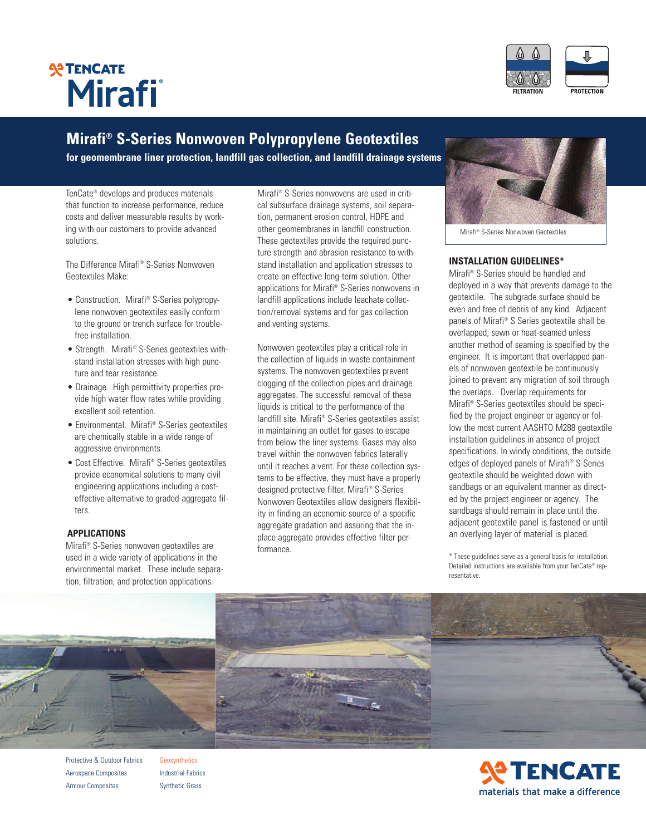



## **Mirafi ® S-Series Nonwoven Polypropylene Geotextiles**

**for geomembrane liner protection, landfill gas collection, and landfill drainage systems**

TenCate® develops and produces materials that function to increase performance, reduce costs and deliver measurable results by working with our customers to provide advanced solutions.

The Difference Mirafi ® S-Series Nonwoven Geotextiles Make:

- Construction. Mirafi ® S-Series polypropylene nonwoven geotextiles easily conform to the ground or trench surface for troublefree installation.
- Strength. Mirafi ® S-Series geotextiles withstand installation stresses with high puncture and tear resistance.
- Drainage. High permittivity properties provide high water flow rates while providing excellent soil retention.
- Environmental. Mirafi ® S-Series geotextiles are chemically stable in a wide range of aggressive environments.
- Cost Effective. Mirafi ® S-Series geotextiles provide economical solutions to many civil engineering applications including a costeffective alternative to graded-aggregate filters.

### **APPLICATIONS**

Mirafi ® S-Series nonwoven geotextiles are used in a wide variety of applications in the environmental market. These include separation, filtration, and protection applications.

Mirafi ® S-Series nonwovens are used in critical subsurface drainage systems, soil separation, permanent erosion control, HDPE and other geomembranes in landfill construction. These geotextiles provide the required puncture strength and abrasion resistance to withstand installation and application stresses to create an effective long-term solution. Other applications for Mirafi ® S-Series nonwovens in landfill applications include leachate collection/removal systems and for gas collection and venting systems.

Nonwoven geotextiles play a critical role in the collection of liquids in waste containment systems. The nonwoven geotextiles prevent clogging of the collection pipes and drainage aggregates. The successful removal of these liquids is critical to the performance of the landfill site. Mirafi ® S-Series geotextiles assist in maintaining an outlet for gases to escape from below the liner systems. Gases may also travel within the nonwoven fabrics laterally until it reaches a vent. For these collection systems to be effective, they must have a properly designed protective filter. Mirafi ® S-Series Nonwoven Geotextiles allow designers flexibility in finding an economic source of a specific aggregate gradation and assuring that the inplace aggregate provides effective filter performance.



Mirafi ® S-Series Nonwoven Geotextiles

### **INSTALLATION GUIDELINES\***

Mirafi ® S-Series should be handled and deployed in a way that prevents damage to the geotextile. The subgrade surface should be even and free of debris of any kind. Adjacent panels of Mirafi ® S Series geotextile shall be overlapped, sewn or heat-seamed unless another method of seaming is specified by the engineer. It is important that overlapped panels of nonwoven geotextile be continuously joined to prevent any migration of soil through the overlaps. Overlap requirements for Mirafi ® S-Series geotextiles should be specified by the project engineer or agency or follow the most current AASHTO M288 geotextile installation guidelines in absence of project specifications. In windy conditions, the outside edges of deployed panels of Mirafi ® S-Series geotextile should be weighted down with sandbags or an equivalent manner as directed by the project engineer or agency. The sandbags should remain in place until the adjacent geotextile panel is fastened or until an overlying layer of material is placed.

\* These guidelines serve as a general basis for installation. Detailed instructions are available from your TenCate® representative.



Protective & Outdoor Fabrics Aerospace Composites Armour Composites

Geosynthetics Industrial Fabrics Synthetic Grass